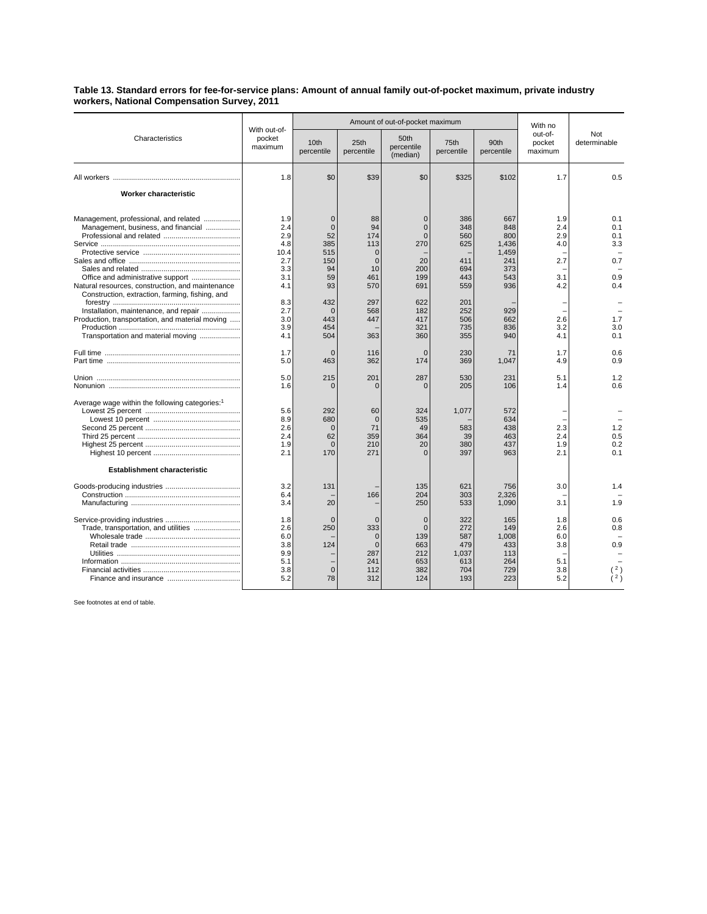## **Table 13. Standard errors for fee-for-service plans: Amount of annual family out-of-pocket maximum, private industry workers, National Compensation Survey, 2011**

|                                                                                                                                                                                                                                                                                 | With out-of-<br>pocket<br>maximum                                                 |                                                                                                | Amount of out-of-pocket maximum                                                                  | With no                                                                                 |                                                                           |                                                                               |                                                      |                                                      |
|---------------------------------------------------------------------------------------------------------------------------------------------------------------------------------------------------------------------------------------------------------------------------------|-----------------------------------------------------------------------------------|------------------------------------------------------------------------------------------------|--------------------------------------------------------------------------------------------------|-----------------------------------------------------------------------------------------|---------------------------------------------------------------------------|-------------------------------------------------------------------------------|------------------------------------------------------|------------------------------------------------------|
| Characteristics                                                                                                                                                                                                                                                                 |                                                                                   | 10 <sub>th</sub><br>percentile                                                                 | 25 <sub>th</sub><br>percentile                                                                   | 50th<br>percentile<br>(median)                                                          | 75th<br>percentile                                                        | 90th<br>percentile                                                            | out-of-<br>pocket<br>maximum                         | Not<br>determinable                                  |
|                                                                                                                                                                                                                                                                                 | 1.8                                                                               | \$0                                                                                            | \$39                                                                                             | \$0                                                                                     | \$325                                                                     | \$102                                                                         | 1.7                                                  | 0.5                                                  |
| <b>Worker characteristic</b>                                                                                                                                                                                                                                                    |                                                                                   |                                                                                                |                                                                                                  |                                                                                         |                                                                           |                                                                               |                                                      |                                                      |
| Management, professional, and related<br>Management, business, and financial<br>Natural resources, construction, and maintenance<br>Construction, extraction, farming, fishing, and<br>Installation, maintenance, and repair<br>Production, transportation, and material moving | 1.9<br>2.4<br>2.9<br>4.8<br>10.4<br>2.7<br>3.3<br>3.1<br>4.1<br>8.3<br>2.7<br>3.0 | $\mathbf 0$<br>$\Omega$<br>52<br>385<br>515<br>150<br>94<br>59<br>93<br>432<br>$\Omega$<br>443 | 88<br>94<br>174<br>113<br>$\mathbf 0$<br>$\overline{0}$<br>10<br>461<br>570<br>297<br>568<br>447 | $\Omega$<br>$\Omega$<br>$\Omega$<br>270<br>20<br>200<br>199<br>691<br>622<br>182<br>417 | 386<br>348<br>560<br>625<br>411<br>694<br>443<br>559<br>201<br>252<br>506 | 667<br>848<br>800<br>1,436<br>1.459<br>241<br>373<br>543<br>936<br>929<br>662 | 1.9<br>2.4<br>2.9<br>4.0<br>2.7<br>3.1<br>4.2<br>2.6 | 0.1<br>0.1<br>0.1<br>3.3<br>0.7<br>0.9<br>0.4<br>1.7 |
| Transportation and material moving                                                                                                                                                                                                                                              | 3.9<br>4.1                                                                        | 454<br>504                                                                                     | 363                                                                                              | 321<br>360                                                                              | 735<br>355                                                                | 836<br>940                                                                    | 3.2<br>4.1                                           | 3.0<br>0.1                                           |
|                                                                                                                                                                                                                                                                                 | 1.7<br>5.0                                                                        | $\Omega$<br>463                                                                                | 116<br>362                                                                                       | $\Omega$<br>174                                                                         | 230<br>369                                                                | 71<br>1,047                                                                   | 1.7<br>4.9                                           | 0.6<br>0.9                                           |
|                                                                                                                                                                                                                                                                                 | 5.0<br>1.6                                                                        | 215<br>$\mathbf 0$                                                                             | 201<br>$\Omega$                                                                                  | 287<br>$\Omega$                                                                         | 530<br>205                                                                | 231<br>106                                                                    | 5.1<br>1.4                                           | 1.2<br>0.6                                           |
| Average wage within the following categories: <sup>1</sup>                                                                                                                                                                                                                      | 5.6<br>8.9<br>2.6<br>2.4<br>1.9<br>2.1                                            | 292<br>680<br>$\Omega$<br>62<br>$\Omega$<br>170                                                | 60<br>$\mathbf 0$<br>71<br>359<br>210<br>271                                                     | 324<br>535<br>49<br>364<br>20<br>$\Omega$                                               | 1,077<br>583<br>39<br>380<br>397                                          | 572<br>634<br>438<br>463<br>437<br>963                                        | 2.3<br>2.4<br>1.9<br>2.1                             | 1.2<br>0.5<br>0.2<br>0.1                             |
| <b>Establishment characteristic</b>                                                                                                                                                                                                                                             |                                                                                   |                                                                                                |                                                                                                  |                                                                                         |                                                                           |                                                                               |                                                      |                                                      |
|                                                                                                                                                                                                                                                                                 | 3.2<br>6.4<br>3.4                                                                 | 131<br>20                                                                                      | 166                                                                                              | 135<br>204<br>250                                                                       | 621<br>303<br>533                                                         | 756<br>2,326<br>1,090                                                         | 3.0<br>3.1                                           | 1.4<br>1.9                                           |
| Trade, transportation, and utilities                                                                                                                                                                                                                                            | 1.8<br>2.6<br>6.0<br>3.8<br>9.9<br>5.1<br>3.8<br>5.2                              | $\Omega$<br>250<br>124<br>$\overline{0}$<br>78                                                 | $\mathbf 0$<br>333<br>$\Omega$<br>$\mathbf 0$<br>287<br>241<br>112<br>312                        | $\Omega$<br>$\Omega$<br>139<br>663<br>212<br>653<br>382<br>124                          | 322<br>272<br>587<br>479<br>1,037<br>613<br>704<br>193                    | 165<br>149<br>1.008<br>433<br>113<br>264<br>729<br>223                        | 1.8<br>2.6<br>6.0<br>3.8<br>5.1<br>3.8<br>5.2        | 0.6<br>0.8<br>0.9<br>$2 \zeta$                       |

See footnotes at end of table.